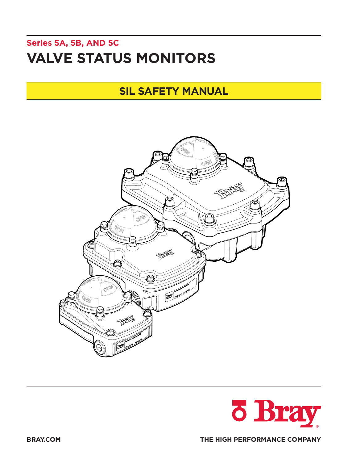# **Series 5A, 5B, AND 5C VALVE STATUS MONITORS**

## **SIL SAFETY MANUAL**



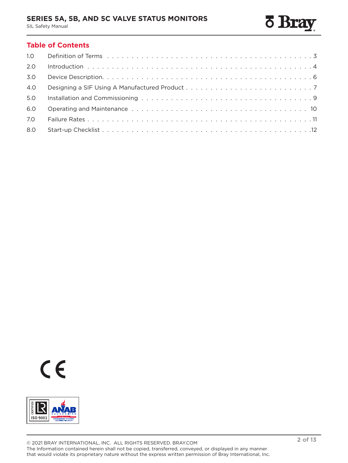## **SERIES 5A, 5B, AND 5C VALVE STATUS MONITORS**

SIL Safety Manual

## **Table of Contents**

| 1.0 <sub>1</sub> |  |
|------------------|--|
| 2.0              |  |
| 3.0              |  |
| 4.0              |  |
| 5.0              |  |
| 6.0              |  |
| 7.0              |  |
| 8.0              |  |



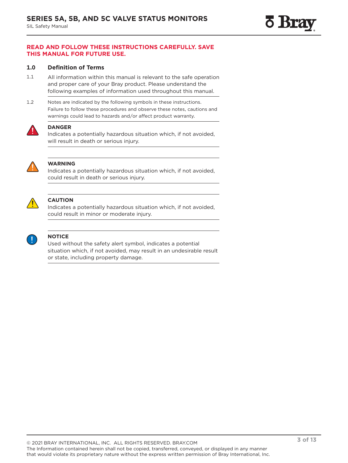## <span id="page-2-0"></span>**READ AND FOLLOW THESE INSTRUCTIONS CAREFULLY. SAVE THIS MANUAL FOR FUTURE USE.**

## **1.0 Definition of Terms**

- 1.1 All information within this manual is relevant to the safe operation and proper care of your Bray product. Please understand the following examples of information used throughout this manual.
- 1.2 Notes are indicated by the following symbols in these instructions. Failure to follow these procedures and observe these notes, cautions and warnings could lead to hazards and/or affect product warranty.



## **DANGER**

Indicates a potentially hazardous situation which, if not avoided, will result in death or serious injury.



## **WARNING**

Indicates a potentially hazardous situation which, if not avoided, could result in death or serious injury.



## **CAUTION**

Indicates a potentially hazardous situation which, if not avoided, could result in minor or moderate injury.



## **NOTICE**

Used without the safety alert symbol, indicates a potential situation which, if not avoided, may result in an undesirable result or state, including property damage.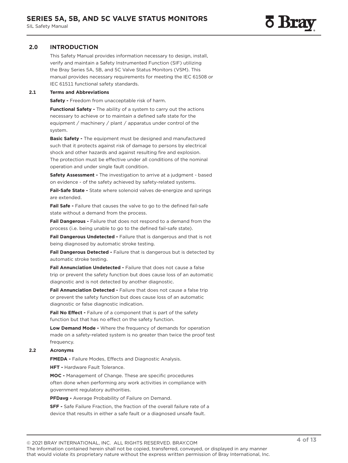<span id="page-3-0"></span>This Safety Manual provides information necessary to design, install, verify and maintain a Safety Instrumented Function (SIF) utilizing the Bray Series 5A, 5B, and 5C Valve Status Monitors (VSM). This manual provides necessary requirements for meeting the IEC 61508 or IEC 61511 functional safety standards.

#### **2.1 Terms and Abbreviations**

**Safety -** Freedom from unacceptable risk of harm.

**Functional Safety - The ability of a system to carry out the actions** necessary to achieve or to maintain a defined safe state for the equipment / machinery / plant / apparatus under control of the system.

**Basic Safety -** The equipment must be designed and manufactured such that it protects against risk of damage to persons by electrical shock and other hazards and against resulting fire and explosion. The protection must be effective under all conditions of the nominal operation and under single fault condition.

**Safety Assessment -** The investigation to arrive at a judgment - based on evidence - of the safety achieved by safety-related systems.

**Fail-Safe State -** State where solenoid valves de-energize and springs are extended.

**Fail Safe -** Failure that causes the valve to go to the defined fail-safe state without a demand from the process.

Fail Dangerous - Failure that does not respond to a demand from the process (i.e. being unable to go to the defined fail-safe state).

**Fail Dangerous Undetected -** Failure that is dangerous and that is not being diagnosed by automatic stroke testing.

**Fail Dangerous Detected -** Failure that is dangerous but is detected by automatic stroke testing.

**Fail Annunciation Undetected -** Failure that does not cause a false trip or prevent the safety function but does cause loss of an automatic diagnostic and is not detected by another diagnostic.

**Fail Annunciation Detected -** Failure that does not cause a false trip or prevent the safety function but does cause loss of an automatic diagnostic or false diagnostic indication.

**Fail No Effect - Failure of a component that is part of the safety** function but that has no effect on the safety function.

**Low Demand Mode -** Where the frequency of demands for operation made on a safety-related system is no greater than twice the proof test frequency.

#### **2.2 Acronyms**

**FMEDA -** Failure Modes, Effects and Diagnostic Analysis.

**HFT -** Hardware Fault Tolerance.

**MOC -** Management of Change. These are specific procedures often done when performing any work activities in compliance with government regulatory authorities.

**PFDavg -** Average Probability of Failure on Demand.

**SFF -** Safe Failure Fraction, the fraction of the overall failure rate of a device that results in either a safe fault or a diagnosed unsafe fault.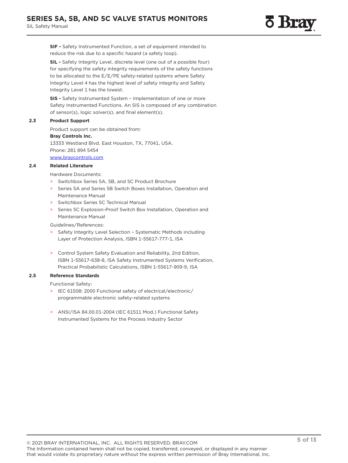**SIF -** Safety Instrumented Function, a set of equipment intended to reduce the risk due to a specific hazard (a safety loop).

**SIL -** Safety Integrity Level, discrete level (one out of a possible four) for specifying the safety integrity requirements of the safety functions to be allocated to the E/E/PE safety-related systems where Safety Integrity Level 4 has the highest level of safety integrity and Safety Integrity Level 1 has the lowest.

**SIS -** Safety Instrumented System – Implementation of one or more Safety Instrumented Functions. An SIS is composed of any combination of sensor(s), logic solver(s), and final element(s).

#### **2.3 Product Support**

Product support can be obtained from:

#### **Bray Controls Inc.**

13333 Westland Blvd. East Houston, TX, 77041, USA. Phone: 281 894 5454 [www.braycontrols.com](http://www.braycontrols.com)

#### **2.4 Related Literature**

Hardware Documents:

- > Switchbox Series 5A, 5B, and 5C Product Brochure
- Series 5A and Series 5B Switch Boxes Installation, Operation and Maintenance Manual
- > Switchbox Series 5C Technical Manual
- Series 5C Explosion-Proof Switch Box Installation, Operation and Maintenance Manual

Guidelines/References:

- > Safety Integrity Level Selection Systematic Methods including Layer of Protection Analysis, ISBN 1-55617-777-1, ISA
- > Control System Safety Evaluation and Reliability, 2nd Edition, ISBN 1-55617-638-8, ISA Safety Instrumented Systems Verification, Practical Probabilistic Calculations, ISBN 1-55617-909-9, ISA

#### **2.5 Reference Standards**

Functional Safety:

- > IEC 61508: 2000 Functional safety of electrical/electronic/ programmable electronic safety-related systems
- > ANSI/ISA 84.00.01-2004 (IEC 61511 Mod.) Functional Safety Instrumented Systems for the Process Industry Sector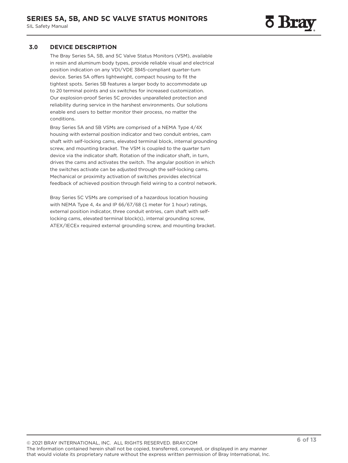## <span id="page-5-0"></span>**3.0 DEVICE DESCRIPTION**

The Bray Series 5A, 5B, and 5C Valve Status Monitors (VSM), available in resin and aluminum body types, provide reliable visual and electrical position indication on any VDI/VDE 3845-compliant quarter-turn device. Series 5A offers lightweight, compact housing to fit the tightest spots. Series 5B features a larger body to accommodate up to 20 terminal points and six switches for increased customization. Our explosion-proof Series 5C provides unparalleled protection and reliability during service in the harshest environments. Our solutions enable end users to better monitor their process, no matter the conditions.

Bray Series 5A and 5B VSMs are comprised of a NEMA Type 4/4X housing with external position indicator and two conduit entries, cam shaft with self-locking cams, elevated terminal block, internal grounding screw, and mounting bracket. The VSM is coupled to the quarter turn device via the indicator shaft. Rotation of the indicator shaft, in turn, drives the cams and activates the switch. The angular position in which the switches activate can be adjusted through the self-locking cams. Mechanical or proximity activation of switches provides electrical feedback of achieved position through field wiring to a control network.

Bray Series 5C VSMs are comprised of a hazardous location housing with NEMA Type 4, 4x and IP 66/67/68 (1 meter for 1 hour) ratings, external position indicator, three conduit entries, cam shaft with selflocking cams, elevated terminal block(s), internal grounding screw, ATEX/IECEx required external grounding screw, and mounting bracket.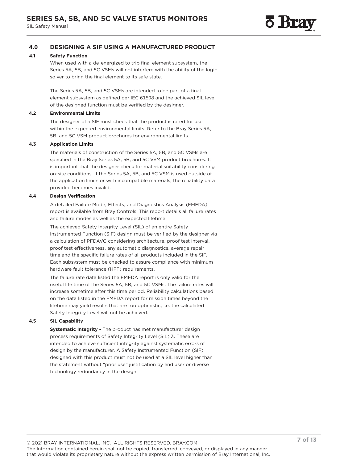## <span id="page-6-0"></span>**4.0 DESIGNING A SIF USING A MANUFACTURED PRODUCT**

#### **4.1 Safety Function**

When used with a de-energized to trip final element subsystem, the Series 5A, 5B, and 5C VSMs will not interfere with the ability of the logic solver to bring the final element to its safe state.

The Series 5A, 5B, and 5C VSMs are intended to be part of a final element subsystem as defined per IEC 61508 and the achieved SIL level of the designed function must be verified by the designer.

#### **4.2 Environmental Limits**

The designer of a SIF must check that the product is rated for use within the expected environmental limits. Refer to the Bray Series 5A, 5B, and 5C VSM product brochures for environmental limits.

## **4.3 Application Limits**

The materials of construction of the Series 5A, 5B, and 5C VSMs are specified in the Bray Series 5A, 5B, and 5C VSM product brochures. It is important that the designer check for material suitability considering on-site conditions. If the Series 5A, 5B, and 5C VSM is used outside of the application limits or with incompatible materials, the reliability data provided becomes invalid.

#### **4.4 Design Verification**

A detailed Failure Mode, Effects, and Diagnostics Analysis (FMEDA) report is available from Bray Controls. This report details all failure rates and failure modes as well as the expected lifetime.

The achieved Safety Integrity Level (SIL) of an entire Safety Instrumented Function (SIF) design must be verified by the designer via a calculation of PFDAVG considering architecture, proof test interval, proof test effectiveness, any automatic diagnostics, average repair time and the specific failure rates of all products included in the SIF. Each subsystem must be checked to assure compliance with minimum hardware fault tolerance (HFT) requirements.

The failure rate data listed the FMEDA report is only valid for the useful life time of the Series 5A, 5B, and 5C VSMs. The failure rates will increase sometime after this time period. Reliability calculations based on the data listed in the FMEDA report for mission times beyond the lifetime may yield results that are too optimistic, i.e. the calculated Safety Integrity Level will not be achieved.

#### **4.5 SIL Capability**

**Systematic Integrity -** The product has met manufacturer design process requirements of Safety Integrity Level (SIL) 3. These are intended to achieve sufficient integrity against systematic errors of design by the manufacturer. A Safety Instrumented Function (SIF) designed with this product must not be used at a SIL level higher than the statement without "prior use" justification by end user or diverse technology redundancy in the design.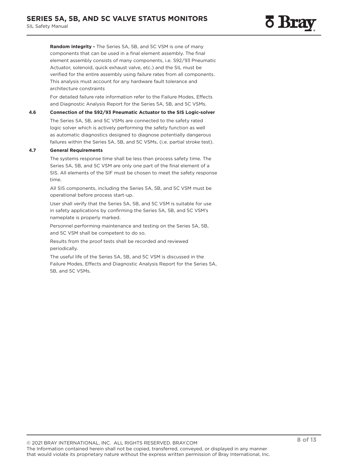**Random Integrity -** The Series 5A, 5B, and 5C VSM is one of many components that can be used in a final element assembly. The final element assembly consists of many components, i.e. S92/93 Pneumatic Actuator, solenoid, quick exhaust valve, etc.) and the SIL must be verified for the entire assembly using failure rates from all components. This analysis must account for any hardware fault tolerance and architecture constraints

For detailed failure rate information refer to the Failure Modes, Effects and Diagnostic Analysis Report for the Series 5A, 5B, and 5C VSMs.

#### **4.6 Connection of the S92/93 Pneumatic Actuator to the SIS Logic-solver**

The Series 5A, 5B, and 5C VSMs are connected to the safety rated logic solver which is actively performing the safety function as well as automatic diagnostics designed to diagnose potentially dangerous failures within the Series 5A, 5B, and 5C VSMs, (i.e. partial stroke test).

#### **4.7 General Requirements**

The systems response time shall be less than process safety time. The Series 5A, 5B, and 5C VSM are only one part of the final element of a SIS. All elements of the SIF must be chosen to meet the safety response time.

All SIS components, including the Series 5A, 5B, and 5C VSM must be operational before process start-up.

User shall verify that the Series 5A, 5B, and 5C VSM is suitable for use in safety applications by confirming the Series 5A, 5B, and 5C VSM's nameplate is properly marked.

Personnel performing maintenance and testing on the Series 5A, 5B, and 5C VSM shall be competent to do so.

Results from the proof tests shall be recorded and reviewed periodically.

The useful life of the Series 5A, 5B, and 5C VSM is discussed in the Failure Modes, Effects and Diagnostic Analysis Report for the Series 5A, 5B, and 5C VSMs.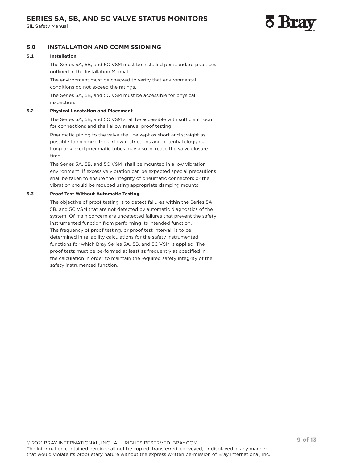## <span id="page-8-0"></span>**5.0 INSTALLATION AND COMMISSIONING**

#### **5.1 Installation**

The Series 5A, 5B, and 5C VSM must be installed per standard practices outlined in the Installation Manual.

The environment must be checked to verify that environmental conditions do not exceed the ratings.

The Series 5A, 5B, and 5C VSM must be accessible for physical inspection.

#### **5.2 Physical Locatation and Placement**

The Series 5A, 5B, and 5C VSM shall be accessible with sufficient room for connections and shall allow manual proof testing.

Pneumatic piping to the valve shall be kept as short and straight as possible to minimize the airflow restrictions and potential clogging. Long or kinked pneumatic tubes may also increase the valve closure time.

The Series 5A, 5B, and 5C VSM shall be mounted in a low vibration environment. If excessive vibration can be expected special precautions shall be taken to ensure the integrity of pneumatic connectors or the vibration should be reduced using appropriate damping mounts.

#### **5.3 Proof Test Without Automatic Testing**

The objective of proof testing is to detect failures within the Series 5A, 5B, and 5C VSM that are not detected by automatic diagnostics of the system. Of main concern are undetected failures that prevent the safety instrumented function from performing its intended function. The frequency of proof testing, or proof test interval, is to be determined in reliability calculations for the safety instrumented functions for which Bray Series 5A, 5B, and 5C VSM is applied. The proof tests must be performed at least as frequently as specified in the calculation in order to maintain the required safety integrity of the safety instrumented function.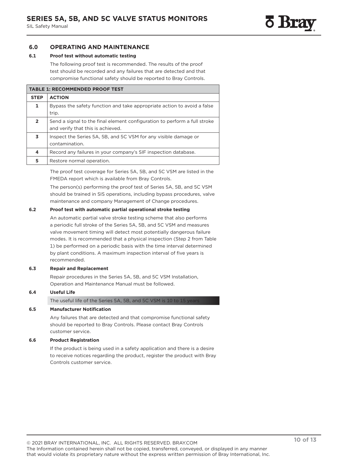## <span id="page-9-0"></span>**6.0 OPERATING AND MAINTENANCE**

#### **6.1 Proof test without automatic testing**

The following proof test is recommended. The results of the proof test should be recorded and any failures that are detected and that compromise functional safety should be reported to Bray Controls.

| <b>TABLE 1: RECOMMENDED PROOF TEST</b> |                                                                                                                |  |  |  |  |
|----------------------------------------|----------------------------------------------------------------------------------------------------------------|--|--|--|--|
| <b>STEP</b>                            | <b>ACTION</b>                                                                                                  |  |  |  |  |
| 1                                      | Bypass the safety function and take appropriate action to avoid a false<br>trip.                               |  |  |  |  |
| $\overline{2}$                         | Send a signal to the final element configuration to perform a full stroke<br>and verify that this is achieved. |  |  |  |  |
| 3                                      | Inspect the Series 5A, 5B, and 5C VSM for any visible damage or<br>contamination.                              |  |  |  |  |
| 4                                      | Record any failures in your company's SIF inspection database.                                                 |  |  |  |  |
| 5                                      | Restore normal operation.                                                                                      |  |  |  |  |

The proof test coverage for Series 5A, 5B, and 5C VSM are listed in the FMEDA report which is available from Bray Controls.

The person(s) performing the proof test of Series 5A, 5B, and 5C VSM should be trained in SIS operations, including bypass procedures, valve maintenance and company Management of Change procedures.

#### **6.2 Proof test with automatic partial operational stroke testing**

An automatic partial valve stroke testing scheme that also performs a periodic full stroke of the Series 5A, 5B, and 5C VSM and measures valve movement timing will detect most potentially dangerous failure modes. It is recommended that a physical inspection (Step 2 from Table 1) be performed on a periodic basis with the time interval determined by plant conditions. A maximum inspection interval of five years is recommended.

#### **6.3 Repair and Replacement**

Repair procedures in the Series 5A, 5B, and 5C VSM Installation, Operation and Maintenance Manual must be followed.

#### **6.4 Useful Life**

The useful life of the Series 5A, 5B, and 5C VSM is 10 to 15 years

#### **6.5 Manufacturer Notification**

Any failures that are detected and that compromise functional safety should be reported to Bray Controls. Please contact Bray Controls customer service.

#### **6.6 Product Registration**

If the product is being used in a safety application and there is a desire to receive notices regarding the product, register the product with Bray Controls customer service.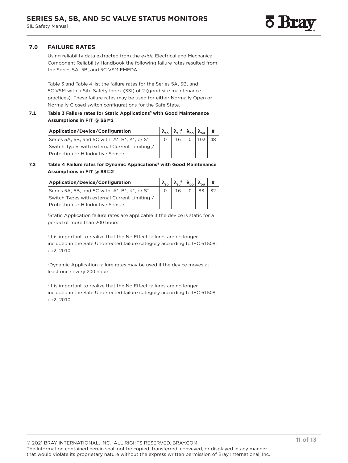## <span id="page-10-0"></span>**7.0 FAILURE RATES**

Using reliability data extracted from the *exida* Electrical and Mechanical Component Reliability Handbook the following failure rates resulted from the Series 5A, 5B, and 5C VSM FMEDA.

Table 3 and Table 4 list the failure rates for the Series 5A, 5B, and 5C VSM with a Site Safety Index (SSI) of 2 (good site maintenance practices). These failure rates may be used for either Normally Open or Normally Closed switch configurations for the Safe State.

#### **7.1 Table 3 Failure rates for Static Applications3 with Good Maintenance Assumptions in FIT @ SSI=2**

| Application/Device/Configuration              |  |    |  |  |
|-----------------------------------------------|--|----|--|--|
| Series 5A, 5B, and 5C with: A*, B*, K*, or S* |  | 16 |  |  |
| Switch Types with external Current Limiting / |  |    |  |  |
| Protection or H Inductive Sensor              |  |    |  |  |

#### **7.2 Table 4 Failure rates for Dynamic Applications5 with Good Maintenance Assumptions in FIT @ SSI=2**

| Application/Device/Configuration              |    | $\lambda_{\rm su}$ <sup>6</sup> $ \lambda_{\rm DD} \lambda_{\rm DU} $ |  |
|-----------------------------------------------|----|-----------------------------------------------------------------------|--|
| Series 5A, 5B, and 5C with: A*, B*, K*, or S* | 16 |                                                                       |  |
| Switch Types with external Current Limiting / |    |                                                                       |  |
| Protection or H Inductive Sensor              |    |                                                                       |  |

<sup>3</sup>Static Application failure rates are applicable if the device is static for a period of more than 200 hours.

<sup>4</sup>It is important to realize that the No Effect failures are no longer included in the Safe Undetected failure category according to IEC 61508, ed2, 2010.

5Dynamic Application failure rates may be used if the device moves at least once every 200 hours.

<sup>6</sup>It is important to realize that the No Effect failures are no longer included in the Safe Undetected failure category according to IEC 61508, ed2, 2010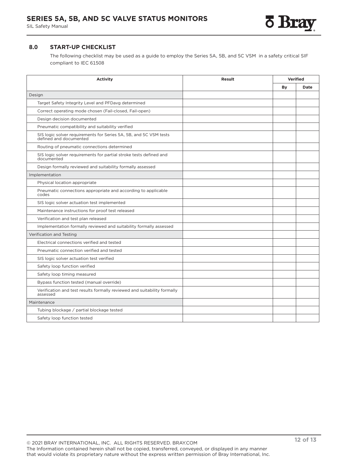## <span id="page-11-0"></span>**8.0 START-UP CHECKLIST**

The following checklist may be used as a guide to employ the Series 5A, 5B, and 5C VSM in a safety critical SIF compliant to IEC 61508

| <b>Activity</b>                                                                          | <b>Result</b> | <b>Verified</b> |      |
|------------------------------------------------------------------------------------------|---------------|-----------------|------|
|                                                                                          |               | By              | Date |
| Design                                                                                   |               |                 |      |
| Target Safety Integrity Level and PFDavg determined                                      |               |                 |      |
| Correct operating mode chosen (Fail-closed, Fail-open)                                   |               |                 |      |
| Design decision documented                                                               |               |                 |      |
| Pneumatic compatibility and suitability verified                                         |               |                 |      |
| SIS logic solver requirements for Series 5A, 5B, and 5C VSM tests defined and documented |               |                 |      |
| Routing of pneumatic connections determined                                              |               |                 |      |
| SIS logic solver requirements for partial stroke tests defined and<br>documented         |               |                 |      |
| Design formally reviewed and suitability formally assessed                               |               |                 |      |
| Implementation                                                                           |               |                 |      |
| Physical location appropriate                                                            |               |                 |      |
| Pneumatic connections appropriate and according to applicable<br>codes                   |               |                 |      |
| SIS logic solver actuation test implemented                                              |               |                 |      |
| Maintenance instructions for proof test released                                         |               |                 |      |
| Verification and test plan released                                                      |               |                 |      |
| Implementation formally reviewed and suitability formally assessed                       |               |                 |      |
| Verification and Testing                                                                 |               |                 |      |
| Electrical connections verified and tested                                               |               |                 |      |
| Pneumatic connection verified and tested                                                 |               |                 |      |
| SIS logic solver actuation test verified                                                 |               |                 |      |
| Safety loop function verified                                                            |               |                 |      |
| Safety loop timing measured                                                              |               |                 |      |
| Bypass function tested (manual override)                                                 |               |                 |      |
| Verification and test results formally reviewed and suitability formally<br>assessed     |               |                 |      |
| Maintenance                                                                              |               |                 |      |
| Tubing blockage / partial blockage tested                                                |               |                 |      |
| Safety loop function tested                                                              |               |                 |      |